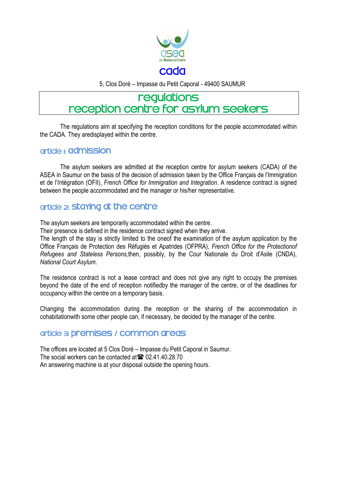

5, Clos Doré – Impasse du Petit Caporal - 49400 SAUMUR

# requiations reception centre for asylum seekers

The regulations aim at specifying the reception conditions for the people accommodated within the CADA. They aredisplayed within the centre.

#### article **L** admission

The asylum seekers are admitted at the reception centre for asylum seekers (CADA) of the ASEA in Saumur on the basis of the decision of admission taken by the Office Français de l'Immigration et de l'Intégration (OFII), *French Office for Immigration and Integration*. A residence contract is signed between the people accommodated and the manager or his/her representative.

# article 2: **Staying at the centre**

The asylum seekers are temporarily accommodated within the centre.

Their presence is defined in the residence contract signed when they arrive.

The length of the stay is strictly limited to the oneof the examination of the asylum application by the Office Français de Protection des Réfugiés et Apatrides (OFPRA), *French Office for the Protectionof Refugees and Stateless Persons*,then, possibly, by the Cour Nationale du Droit d'Asile (CNDA), *National Court Asylum*.

The residence contract is not a lease contract and does not give any right to occupy the premises beyond the date of the end of reception notifiedby the manager of the centre, or of the deadlines for occupancy within the centre on a temporary basis.

Changing the accommodation during the reception or the sharing of the accommodation in cohabitationwith some other people can, if necessary, be decided by the manager of the centre.

# article 3: premises / common areas

The offices are located at 5 Clos Doré – Impasse du Petit Caporal in Saumur. The social workers can be contacted at  $\approx 02.41.40.28.70$ An answering machine is at your disposal outside the opening hours.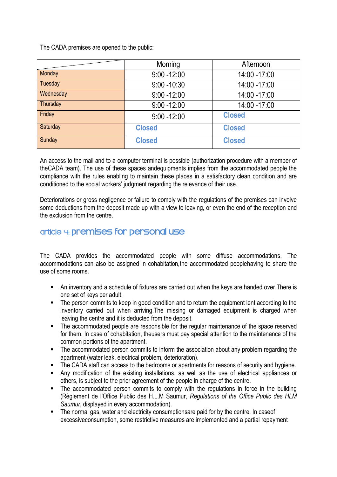The CADA premises are opened to the public:

|           | Morning        | Afternoon     |
|-----------|----------------|---------------|
| Monday    | $9:00 - 12:00$ | 14:00 - 17:00 |
| Tuesday   | $9:00 - 10:30$ | 14:00 - 17:00 |
| Wednesday | $9:00 - 12:00$ | 14:00 - 17:00 |
| Thursday  | $9:00 - 12:00$ | 14:00 -17:00  |
| Friday    | $9:00 - 12:00$ | <b>Closed</b> |
| Saturday  | <b>Closed</b>  | <b>Closed</b> |
| Sunday    | <b>Closed</b>  | <b>Closed</b> |

An access to the mail and to a computer terminal is possible (authorization procedure with a member of theCADA team). The use of these spaces andequipments implies from the accommodated people the compliance with the rules enabling to maintain these places in a satisfactory clean condition and are conditioned to the social workers' judgment regarding the relevance of their use.

Deteriorations or gross negligence or failure to comply with the regulations of the premises can involve some deductions from the deposit made up with a view to leaving, or even the end of the reception and the exclusion from the centre.

# article 4: premises for personal use

The CADA provides the accommodated people with some diffuse accommodations. The accommodations can also be assigned in cohabitation,the accommodated peoplehaving to share the use of some rooms.

- An inventory and a schedule of fixtures are carried out when the keys are handed over.There is one set of keys per adult.
- The person commits to keep in good condition and to return the equipment lent according to the inventory carried out when arriving.The missing or damaged equipment is charged when leaving the centre and it is deducted from the deposit.
- The accommodated people are responsible for the regular maintenance of the space reserved for them. In case of cohabitation, theusers must pay special attention to the maintenance of the common portions of the apartment.
- The accommodated person commits to inform the association about any problem regarding the apartment (water leak, electrical problem, deterioration).
- The CADA staff can access to the bedrooms or apartments for reasons of security and hygiene.
- Any modification of the existing installations, as well as the use of electrical appliances or others, is subject to the prior agreement of the people in charge of the centre.
- The accommodated person commits to comply with the regulations in force in the building (Règlement de l'Office Public des H.L.M Saumur, *Regulations of the Office Public des HLM Saumur*, displayed in every accommodation).
- The normal gas, water and electricity consumptionsare paid for by the centre. In case of excessiveconsumption, some restrictive measures are implemented and a partial repayment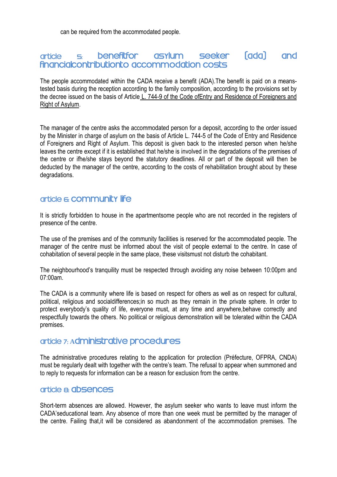can be required from the accommodated people.

#### article <del>5</del> benefitfor asylum seeker<br>financialcontributionto accommodation costs **fada seeker** and

The people accommodated within the CADA receive a benefit (ADA).The benefit is paid on a meanstested basis during the reception according to the family composition, according to the provisions set by the decree issued on the basis of Article L. 744-9 of the Code of Entry and Residence of Foreigners and [Right of Asylum.](http://www.legifrance.gouv.fr/affichCodeArticle.do;jsessionid=F79FC4944386E3F270EF0000ECA58375.tpdila23v_3?cidTexte=LEGITEXT000006070158&idArticle=LEGIARTI000030952367&dateTexte=&categorieLien=cid)

The manager of the centre asks the accommodated person for a deposit, according to the order issued by the Minister in charge of asylum on the basis of Article L. 744-5 of the [Code of Entry and Residence](http://www.legifrance.gouv.fr/affichCodeArticle.do;jsessionid=F79FC4944386E3F270EF0000ECA58375.tpdila23v_3?cidTexte=LEGITEXT000006070158&idArticle=LEGIARTI000030952367&dateTexte=&categorieLien=cid)  [of Foreigners and Right of Asylum.](http://www.legifrance.gouv.fr/affichCodeArticle.do;jsessionid=F79FC4944386E3F270EF0000ECA58375.tpdila23v_3?cidTexte=LEGITEXT000006070158&idArticle=LEGIARTI000030952367&dateTexte=&categorieLien=cid) This deposit is given back to the interested person when he/she leaves the centre except if it is established that he/she is involved in the degradations of the premises of the centre or ifhe/she stays beyond the statutory deadlines. All or part of the deposit will then be deducted by the manager of the centre, according to the costs of rehabilitation brought about by these degradations.

### article & community life

It is strictly forbidden to house in the apartmentsome people who are not recorded in the registers of presence of the centre.

The use of the premises and of the community facilities is reserved for the accommodated people. The manager of the centre must be informed about the visit of people external to the centre. In case of cohabitation of several people in the same place, these visitsmust not disturb the cohabitant.

The neighbourhood's tranquility must be respected through avoiding any noise between 10:00pm and 07:00am.

The CADA is a community where life is based on respect for others as well as on respect for cultural, political, religious and socialdifferences;in so much as they remain in the private sphere. In order to protect everybody's quality of life, everyone must, at any time and anywhere,behave correctly and respectfully towards the others. No political or religious demonstration will be tolerated within the CADA premises.

#### article 7: Administrative procedures

The administrative procedures relating to the application for protection (Préfecture, OFPRA, CNDA) must be regularly dealt with together with the centre's team. The refusal to appear when summoned and to reply to requests for information can be a reason for exclusion from the centre.

#### article a absences

Short-term absences are allowed. However, the asylum seeker who wants to leave must inform the CADA'seducational team. Any absence of more than one week must be permitted by the manager of the centre. Failing that,it will be considered as abandonment of the accommodation premises. The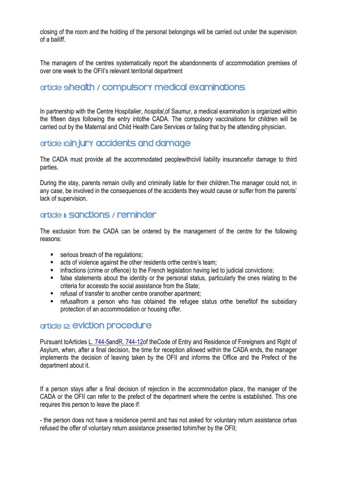closing of the room and the holding of the personal belongings will be carried out under the supervision of a bailiff.

The managers of the centres systematically report the abandonments of accommodation premises of over one week to the OFII's relevant territorial department

# article shealth / compulsory medical examinations

In partnership with the Centre Hospitalier, *hospital*,of Saumur, a medical examination is organized within the fifteen days following the entry intothe CADA. The compulsory vaccinations for children will be carried out by the Maternal and Child Health Care Services or failing that by the attending physician.

# article Io.in jury accidents and damage

The CADA must provide all the accommodated peoplewithcivil liability insurancefor damage to third parties.

During the stay, parents remain civilly and criminally liable for their children.The manager could not, in any case, be involved in the consequences of the accidents they would cause or suffer from the parents' lack of supervision.

# article II: Sanctions / reminder

The exclusion from the CADA can be ordered by the management of the centre for the following reasons:

- serious breach of the regulations;
- **EXECT** acts of violence against the other residents orthe centre's team;
- **EXECT** infractions (crime or offence) to the French legislation having led to judicial convictions;
- **False statements about the identity or the personal status, particularly the ones relating to the** criteria for accessto the social assistance from the State;
- refusal of transfer to another centre oranother apartment;
- refusalfrom a person who has obtained the refugee status orthe benefitof the subsidiary protection of an accommodation or housing offer.

# article 12: eviction procedure

Pursuant toArticles [L. 744-5a](http://www.legifrance.gouv.fr/affichCodeArticle.do;jsessionid=F79FC4944386E3F270EF0000ECA58375.tpdila23v_3?cidTexte=LEGITEXT000006070158&idArticle=LEGIARTI000030952353&dateTexte=&categorieLien=cid)nd R. 744-12of the Code of Entry and Residence of Foreigners and Right of [Asylum,](http://www.legifrance.gouv.fr/affichCodeArticle.do;jsessionid=F79FC4944386E3F270EF0000ECA58375.tpdila23v_3?cidTexte=LEGITEXT000006070158&idArticle=LEGIARTI000030952367&dateTexte=&categorieLien=cid) when, after a final decision, the time for reception allowed within the CADA ends, the manager implements the decision of leaving taken by the OFII and informs the Office and the Prefect of the department about it.

If a person stays after a final decision of rejection in the accommodation place, the manager of the CADA or the OFII can refer to the prefect of the department where the centre is established. This one requires this person to leave the place if:

- the person does not have a residence permit and has not asked for voluntary return assistance orhas refused the offer of voluntary return assistance presented tohim/her by the OFII;